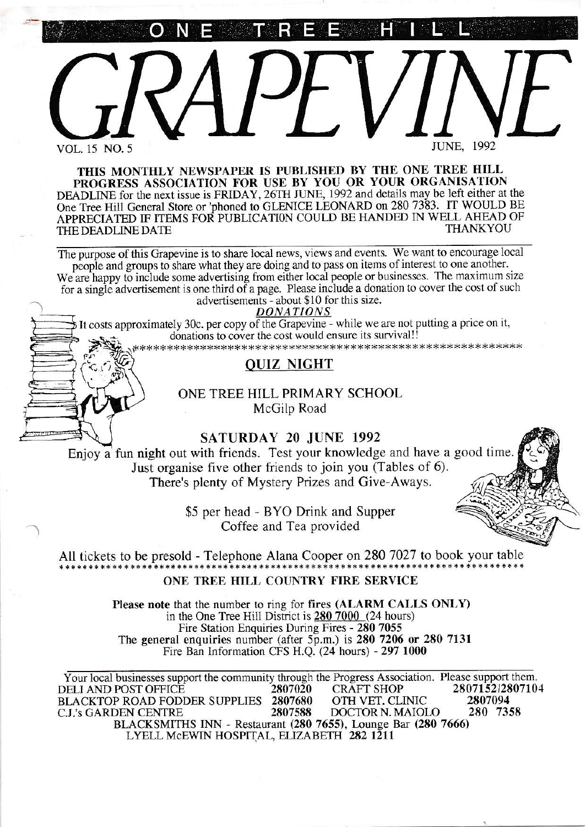o <sup>N</sup> <sup>E</sup> T. R E E H I L'



THIS MONTHLY NEWSPAPER IS PUBLISHED BY THE ONE TREE HILL PROGRESS ASSOCIATION FOR USE BY YOU OR YOUR ORGANISATION DEADLINE for the next issue is FRIDAY, 26TH JUNE, 1992 and details may be left either at the One Tree Hill General Store or 'phoned to GLENICE LEONARD on 280 7383. IT WOULD BE APPRECIATED IF ITEMS FOR PUBLICATION COULD BE HANDED IN WELL AHEAD OF<br>THE DEADLINE DATE THE DEADLINE DATE

The purpose of this Grapevine is to share local news, views and events. We want to encourage local people and groups to share what they are doing and to pass on items of interest to one another. We are happy to include some advertising from either local people or businesses. The maximum size for a single advertisement is one third of a page. Please include a donation to cover the cost of such advertisements - about \$10 for this size.

DONATIONS

It costs approximately 30c. per copy of the Grapevine - while we are not putting a price on it, donations to cover the cost would ensure its survival!!

it>k\*+++x\*xxxxxxx\*\* \*r<\*+\*\* \*\*\*x \*\*\*\*\*\* \*\* ++,k\*\* \* l.\*\*\* r,+ + +,k\* \* \* \*\*x \*

# OUIZ NIGHT

ONE TREE HILL PRIMARY SCHOOL McGilp Road

SATURDAY 20 JUNE 1992

Enjoy a fim night out with friends. Test your knowledge and have a good time Just organise five other friends to join you (Tables of 6). There's plenty of Mystery Prizes and Give-Aways.

> \$5 per head - BYO Drink and Supper Coffee and Tea provided

All tickets to be presold - Telephone Alana Cooper on 280 7027 to book your table ONE TREE EILL COUNTRY FIRE SERVICE

> Please note that the number to ring for fires (ALARM CALLS ONLY) in the One Tree Hill District is 280 7000 (24 hours) Fire Station Enquiries During Fires - 280 7055 The general enquiries number (after  $5\overline{p}$ .m.) is 280 7206 or 280 7131 Fire Ban Information CFS H.Q. (24 hours) - 297 1000

Your local businesses support the community through the Progress Association. Please support them.<br>DELI AND POST OFFICE 2807020 CRAFT SHOP 280715212807104 DELI AND POST OFFICE  $\begin{array}{c} 2807020 \ \text{BLACKTOP} \ \text{ROAD FODDER SUPPLIES} \end{array} \begin{array}{c} 2807680 \ \text{OFH VET. CLINIC} \ \text{DCH VET. CLINIC} \end{array} \begin{array}{c} 280715212807104 \ \text{C.J.'s GARDEN CENTRE} \end{array}$ C.J.'s GARDEN CENTRE BLACKSMITHS INN - Restaurant (280 7655), Lounge Bar (280 7666) LYELL MCEWIN HOSPITAL, ELIZABETH 282 1211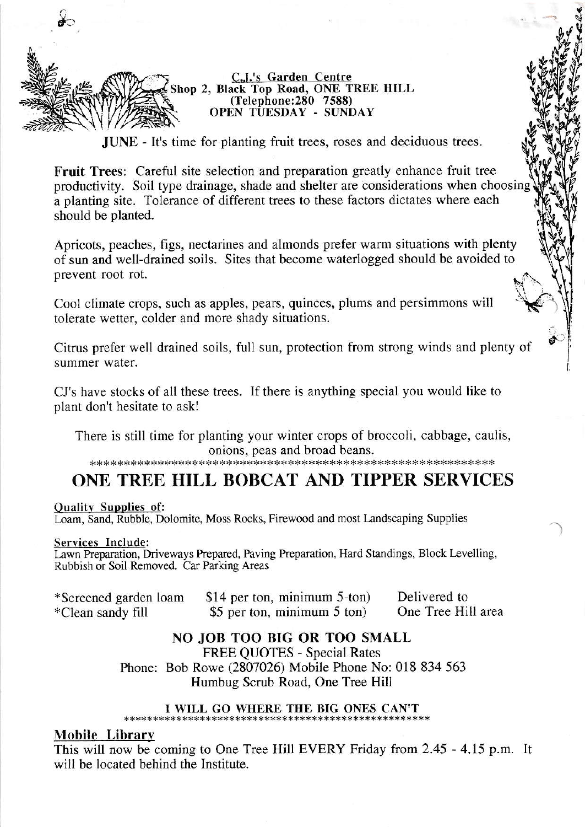

C.J.'s Garden Centre Shop 2, Black Top Road, ONE TREE HILL (Telephone: 280 7588) OPEN TUESDAY - SUNDAY

**JUNE** - It's time for planting fruit trees, roses and deciduous trees.

**Fruit Trees:** Careful site selection and preparation greatly enhance fruit tree productivity. Soil type drainage, shade and shelter are considerations when choosing a planting site. Tolerance of different trees to these factors dictates where each should be planted.

Apricots, peaches, figs, nectarines and almonds prefer warm situations with plenty of sun and well-drained soils. Sites that become waterlogged should be avoided to prevent root rot.

Cool climate crops, such as apples, pears, quinces, plums and persimmons will tolerate wetter, colder and more shady situations.

Citrus prefer well drained soils, full sun, protection from strong winds and plenty of summer water.

CJ's have stocks of all these trees. If there is anything special you would like to plant don't hesitate to ask!

There is still time for planting your winter crops of broccoli, cabbage, caulis, onions, peas and broad beans.

# ONE TREE HILL BOBCAT AND TIPPER SERVICES

#### **Ouality Supplies of:**

Loam, Sand, Rubble, Dolomite, Moss Rocks, Firewood and most Landscaping Supplies

#### Services Include:

Lawn Preparation, Driveways Prepared, Paving Preparation, Hard Standings, Block Levelling, Rubbish or Soil Removed. Car Parking Areas

| *Screened garden loam | \$14 per ton, minimum 5-ton) | Delivered to       |
|-----------------------|------------------------------|--------------------|
| *Clean sandy fill     | \$5 per ton, minimum 5 ton)  | One Tree Hill area |

# NO JOB TOO BIG OR TOO SMALL

**FREE OUOTES - Special Rates** 

Phone: Bob Rowe (2807026) Mobile Phone No: 018 834 563 Humbug Scrub Road, One Tree Hill

#### I WILL GO WHERE THE BIG ONES CAN'T

## **Mobile Library**

This will now be coming to One Tree Hill EVERY Friday from 2.45 - 4.15 p.m. It will be located behind the Institute.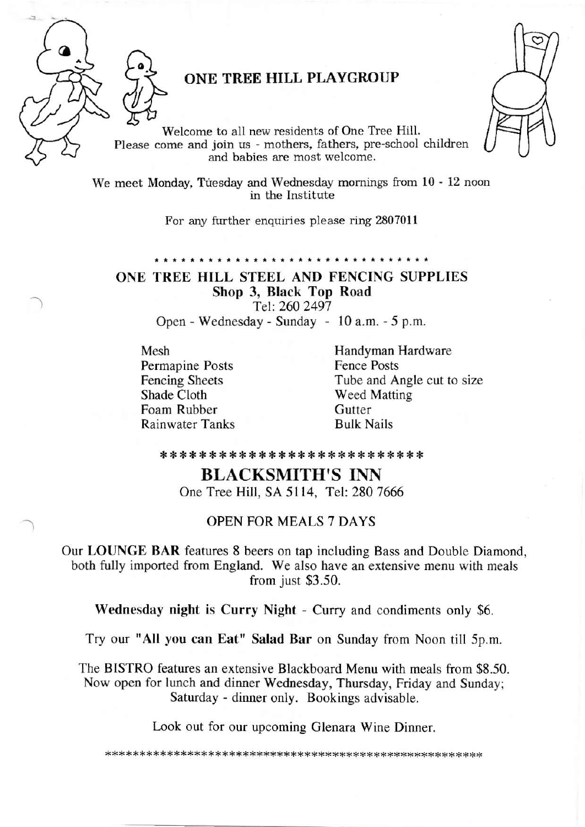

# ONE TREE HILL PLAYGROUP

Welcome to all new residents of One Tree Hill. Please come and join us - mothers, fathers, pre-school children and babies are most welcome.



For any ftrrther enquiries please ring 2807011

ONE TREE HILL STEEL AND FENCING SUPPLIES Shop 3, Black Top Road Tel: 260 2497

Open-Wednesday-Sunday - l0a.m. -5 p.m.

Mesh Permapine Posts Fencing Sheets Shade Cloth Foam Rubber Rainwater Tanks Handyman Hardware Fence Posts Tube and Angle cut to size Weed Matting **Gutter** Bulk Nails

\* {. {. {< {. {. \* {. \* {< :{r {. {. {. {. \* d. 4( \* {. {. {. \* \* \* 1. \*

# BLACKSMITH'S INN

One Tree Hill, SA 5114, Tel: 280 7666

## OPEN FOR MEALS 7 DAYS

Our LOUNGE BAR features 8 beers on tap including Bass and Double Diamond, both fully imported from England. We also have an extensive menu with meals from just \$3.50.

Wednesday night is Curry Night - Curry and condiments only \$6.

Try our "All you can Eat" Salad Bar on Sunday from Noon till 5p.m.

The BISTRO features an extensive Blackboard Menu with meals from \$8.50. Now open for lunch and dinner Wednesday, Thursday, Friday and Sunday; Saturday - dinner only. Bookings advisable.

Look out for our upcoming Glenara Wine Dinner.

\*\*x\*x+r:xr(\*x\*\*\*++rr\*\*\*x\*\*\*\*xxrk\*\*r.(\*\*\*\*\*\*\*\*\*+1.\*\*\*\*++Jrxx:<\*xx